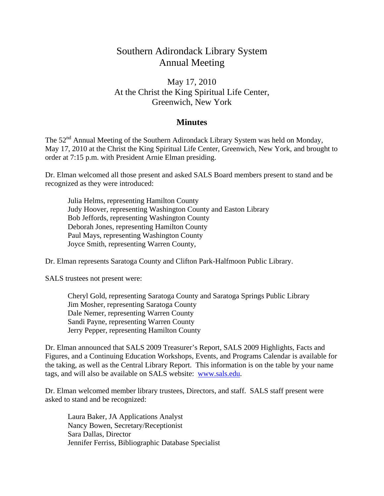# Southern Adirondack Library System Annual Meeting

## May 17, 2010 At the Christ the King Spiritual Life Center, Greenwich, New York

### **Minutes**

The 52<sup>nd</sup> Annual Meeting of the Southern Adirondack Library System was held on Monday, May 17, 2010 at the Christ the King Spiritual Life Center, Greenwich, New York, and brought to order at 7:15 p.m. with President Arnie Elman presiding.

Dr. Elman welcomed all those present and asked SALS Board members present to stand and be recognized as they were introduced:

 Julia Helms, representing Hamilton County Judy Hoover, representing Washington County and Easton Library Bob Jeffords, representing Washington County Deborah Jones, representing Hamilton County Paul Mays, representing Washington County Joyce Smith, representing Warren County,

Dr. Elman represents Saratoga County and Clifton Park-Halfmoon Public Library.

SALS trustees not present were:

 Cheryl Gold, representing Saratoga County and Saratoga Springs Public Library Jim Mosher, representing Saratoga County Dale Nemer, representing Warren County Sandi Payne, representing Warren County Jerry Pepper, representing Hamilton County

Dr. Elman announced that SALS 2009 Treasurer's Report, SALS 2009 Highlights, Facts and Figures, and a Continuing Education Workshops, Events, and Programs Calendar is available for the taking, as well as the Central Library Report. This information is on the table by your name tags, and will also be available on SALS website: www.sals.edu.

Dr. Elman welcomed member library trustees, Directors, and staff. SALS staff present were asked to stand and be recognized:

 Laura Baker, JA Applications Analyst Nancy Bowen, Secretary/Receptionist Sara Dallas, Director Jennifer Ferriss, Bibliographic Database Specialist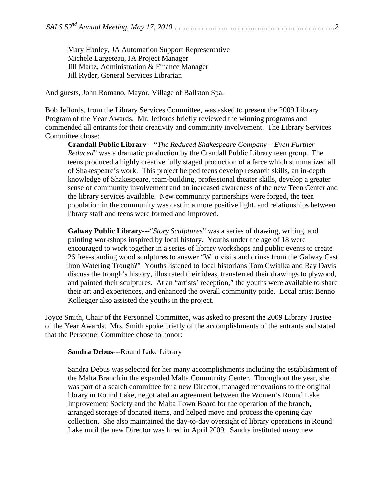Mary Hanley, JA Automation Support Representative Michele Largeteau, JA Project Manager Jill Martz, Administration & Finance Manager Jill Ryder, General Services Librarian

And guests, John Romano, Mayor, Village of Ballston Spa.

Bob Jeffords, from the Library Services Committee, was asked to present the 2009 Library Program of the Year Awards. Mr. Jeffords briefly reviewed the winning programs and commended all entrants for their creativity and community involvement. The Library Services Committee chose:

**Crandall Public Library**---"*The Reduced Shakespeare Company---Even Further Reduced*" was a dramatic production by the Crandall Public Library teen group. The teens produced a highly creative fully staged production of a farce which summarized all of Shakespeare's work. This project helped teens develop research skills, an in-depth knowledge of Shakespeare, team-building, professional theater skills, develop a greater sense of community involvement and an increased awareness of the new Teen Center and the library services available. New community partnerships were forged, the teen population in the community was cast in a more positive light, and relationships between library staff and teens were formed and improved.

**Galway Public Library**---"*Story Sculptures*" was a series of drawing, writing, and painting workshops inspired by local history. Youths under the age of 18 were encouraged to work together in a series of library workshops and public events to create 26 free-standing wood sculptures to answer "Who visits and drinks from the Galway Cast Iron Watering Trough?" Youths listened to local historians Tom Cwialka and Ray Davis discuss the trough's history, illustrated their ideas, transferred their drawings to plywood, and painted their sculptures. At an "artists' reception," the youths were available to share their art and experiences, and enhanced the overall community pride. Local artist Benno Kollegger also assisted the youths in the project.

Joyce Smith, Chair of the Personnel Committee, was asked to present the 2009 Library Trustee of the Year Awards. Mrs. Smith spoke briefly of the accomplishments of the entrants and stated that the Personnel Committee chose to honor:

#### **Sandra Debus**---Round Lake Library

Sandra Debus was selected for her many accomplishments including the establishment of the Malta Branch in the expanded Malta Community Center. Throughout the year, she was part of a search committee for a new Director, managed renovations to the original library in Round Lake, negotiated an agreement between the Women's Round Lake Improvement Society and the Malta Town Board for the operation of the branch, arranged storage of donated items, and helped move and process the opening day collection. She also maintained the day-to-day oversight of library operations in Round Lake until the new Director was hired in April 2009. Sandra instituted many new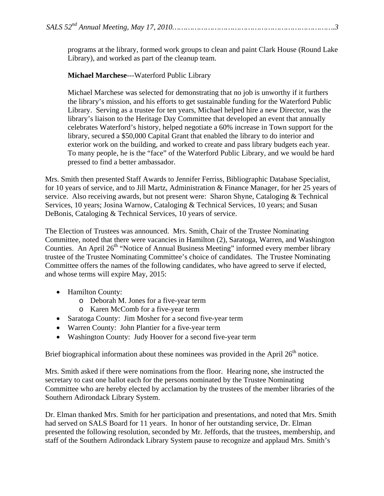programs at the library, formed work groups to clean and paint Clark House (Round Lake Library), and worked as part of the cleanup team.

#### **Michael Marchese**---Waterford Public Library

Michael Marchese was selected for demonstrating that no job is unworthy if it furthers the library's mission, and his efforts to get sustainable funding for the Waterford Public Library. Serving as a trustee for ten years, Michael helped hire a new Director, was the library's liaison to the Heritage Day Committee that developed an event that annually celebrates Waterford's history, helped negotiate a 60% increase in Town support for the library, secured a \$50,000 Capital Grant that enabled the library to do interior and exterior work on the building, and worked to create and pass library budgets each year. To many people, he is the "face" of the Waterford Public Library, and we would be hard pressed to find a better ambassador.

Mrs. Smith then presented Staff Awards to Jennifer Ferriss, Bibliographic Database Specialist, for 10 years of service, and to Jill Martz, Administration & Finance Manager, for her 25 years of service. Also receiving awards, but not present were: Sharon Shyne, Cataloging & Technical Services, 10 years; Josina Warnow, Cataloging & Technical Services, 10 years; and Susan DeBonis, Cataloging & Technical Services, 10 years of service.

The Election of Trustees was announced. Mrs. Smith, Chair of the Trustee Nominating Committee, noted that there were vacancies in Hamilton (2), Saratoga, Warren, and Washington Counties. An April 26<sup>th</sup> "Notice of Annual Business Meeting" informed every member library trustee of the Trustee Nominating Committee's choice of candidates. The Trustee Nominating Committee offers the names of the following candidates, who have agreed to serve if elected, and whose terms will expire May, 2015:

- Hamilton County:
	- o Deborah M. Jones for a five-year term
	- o Karen McComb for a five-year term
- Saratoga County: Jim Mosher for a second five-year term
- Warren County: John Plantier for a five-year term
- Washington County: Judy Hoover for a second five-year term

Brief biographical information about these nominees was provided in the April  $26<sup>th</sup>$  notice.

Mrs. Smith asked if there were nominations from the floor. Hearing none, she instructed the secretary to cast one ballot each for the persons nominated by the Trustee Nominating Committee who are hereby elected by acclamation by the trustees of the member libraries of the Southern Adirondack Library System.

Dr. Elman thanked Mrs. Smith for her participation and presentations, and noted that Mrs. Smith had served on SALS Board for 11 years. In honor of her outstanding service, Dr. Elman presented the following resolution, seconded by Mr. Jeffords, that the trustees, membership, and staff of the Southern Adirondack Library System pause to recognize and applaud Mrs. Smith's